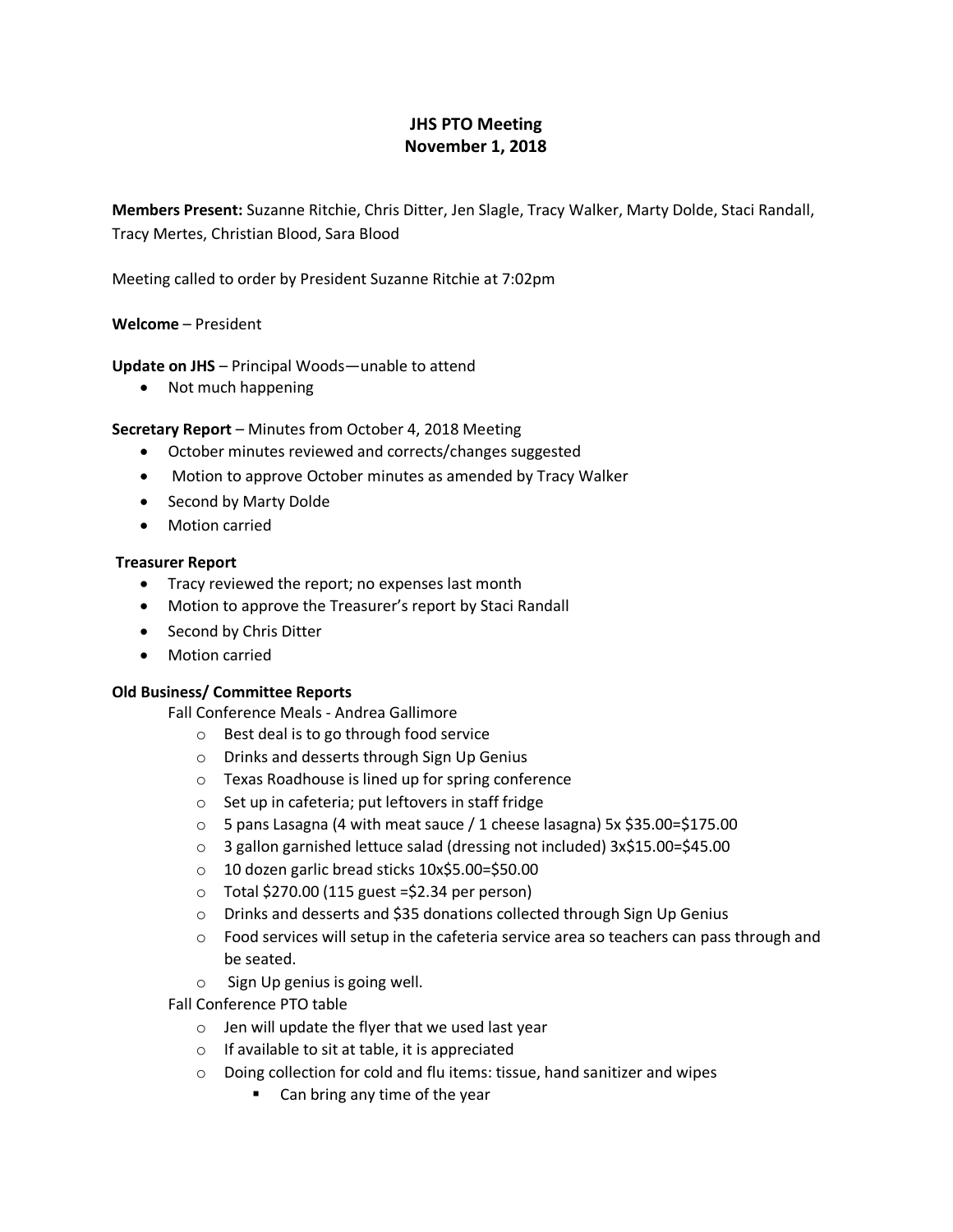# **JHS PTO Meeting November 1, 2018**

**Members Present:** Suzanne Ritchie, Chris Ditter, Jen Slagle, Tracy Walker, Marty Dolde, Staci Randall, Tracy Mertes, Christian Blood, Sara Blood

Meeting called to order by President Suzanne Ritchie at 7:02pm

## **Welcome** – President

**Update on JHS** – Principal Woods—unable to attend

• Not much happening

## **Secretary Report** – Minutes from October 4, 2018 Meeting

- October minutes reviewed and corrects/changes suggested
- Motion to approve October minutes as amended by Tracy Walker
- Second by Marty Dolde
- Motion carried

## **Treasurer Report**

- Tracy reviewed the report; no expenses last month
- Motion to approve the Treasurer's report by Staci Randall
- Second by Chris Ditter
- Motion carried

## **Old Business/ Committee Reports**

- Fall Conference Meals Andrea Gallimore
	- o Best deal is to go through food service
	- o Drinks and desserts through Sign Up Genius
	- o Texas Roadhouse is lined up for spring conference
	- o Set up in cafeteria; put leftovers in staff fridge
	- $\circ$  5 pans Lasagna (4 with meat sauce / 1 cheese lasagna) 5x \$35.00=\$175.00
	- o 3 gallon garnished lettuce salad (dressing not included) 3x\$15.00=\$45.00
	- o 10 dozen garlic bread sticks 10x\$5.00=\$50.00
	- $\circ$  Total \$270.00 (115 guest =\$2.34 per person)
	- o Drinks and desserts and \$35 donations collected through Sign Up Genius
	- $\circ$  Food services will setup in the cafeteria service area so teachers can pass through and be seated.
	- o Sign Up genius is going well.
- Fall Conference PTO table
	- o Jen will update the flyer that we used last year
	- o If available to sit at table, it is appreciated
	- o Doing collection for cold and flu items: tissue, hand sanitizer and wipes
		- Can bring any time of the year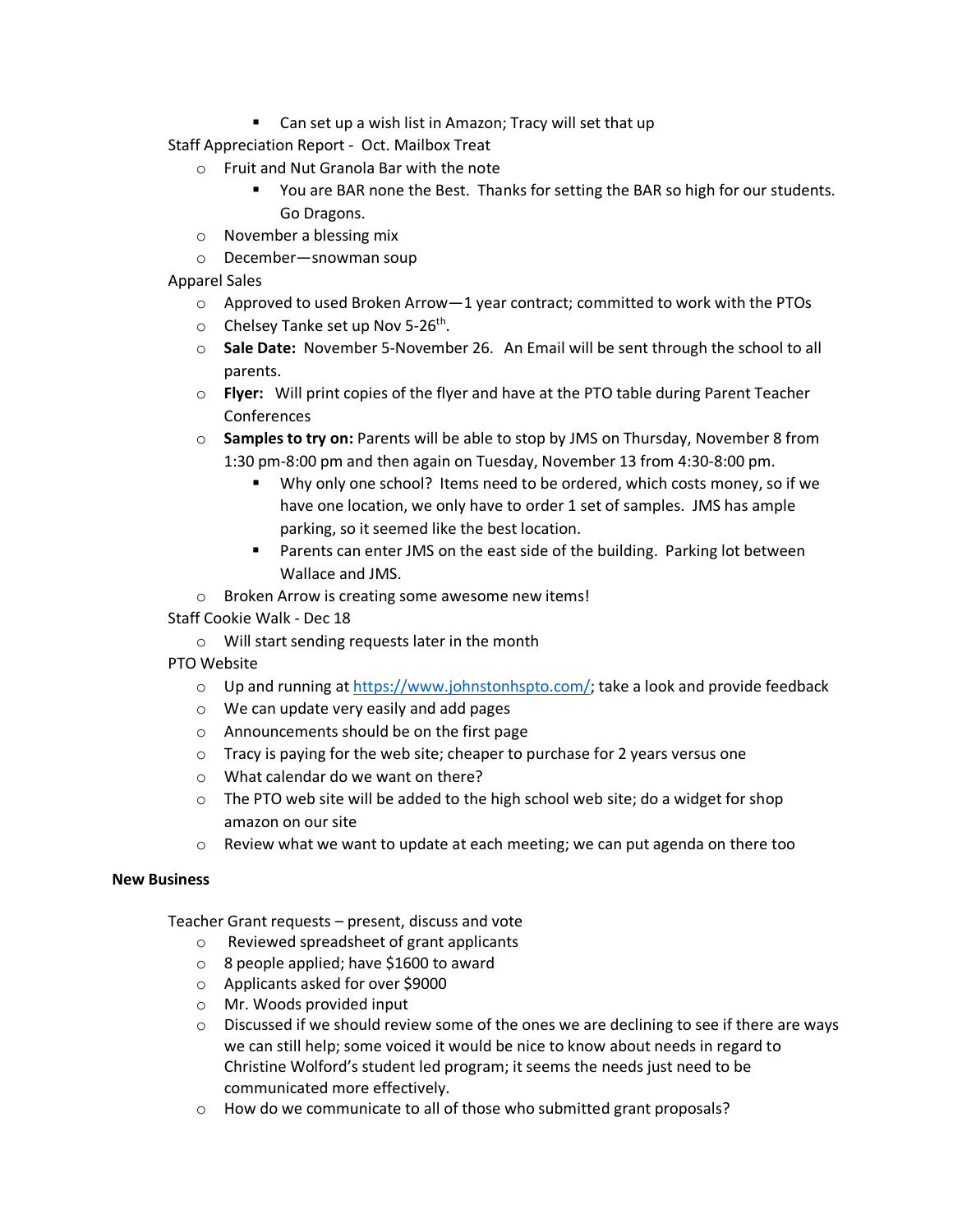■ Can set up a wish list in Amazon; Tracy will set that up

Staff Appreciation Report - Oct. Mailbox Treat

- o Fruit and Nut Granola Bar with the note
	- You are BAR none the Best. Thanks for setting the BAR so high for our students. Go Dragons.
- o November a blessing mix
- o December—snowman soup
- Apparel Sales
	- $\circ$  Approved to used Broken Arrow—1 year contract; committed to work with the PTOs
	- $\circ$  Chelsey Tanke set up Nov 5-26<sup>th</sup>.
	- o **Sale Date:** November 5-November 26. An Email will be sent through the school to all parents.
	- o **Flyer:** Will print copies of the flyer and have at the PTO table during Parent Teacher **Conferences**
	- o **Samples to try on:** Parents will be able to stop by JMS on Thursday, November 8 from 1:30 pm-8:00 pm and then again on Tuesday, November 13 from 4:30-8:00 pm.
		- Why only one school? Items need to be ordered, which costs money, so if we have one location, we only have to order 1 set of samples. JMS has ample parking, so it seemed like the best location.
		- Parents can enter JMS on the east side of the building. Parking lot between Wallace and JMS.
	- o Broken Arrow is creating some awesome new items!
- Staff Cookie Walk Dec 18
	- o Will start sending requests later in the month
- PTO Website
	- $\circ$  Up and running at [https://www.johnstonhspto.com/;](https://www.johnstonhspto.com/) take a look and provide feedback
	- o We can update very easily and add pages
	- o Announcements should be on the first page
	- $\circ$  Tracy is paying for the web site; cheaper to purchase for 2 years versus one
	- o What calendar do we want on there?
	- o The PTO web site will be added to the high school web site; do a widget for shop amazon on our site
	- $\circ$  Review what we want to update at each meeting; we can put agenda on there too

## **New Business**

Teacher Grant requests – present, discuss and vote

- o Reviewed spreadsheet of grant applicants
- o 8 people applied; have \$1600 to award
- o Applicants asked for over \$9000
- o Mr. Woods provided input
- $\circ$  Discussed if we should review some of the ones we are declining to see if there are ways we can still help; some voiced it would be nice to know about needs in regard to Christine Wolford's student led program; it seems the needs just need to be communicated more effectively.
- o How do we communicate to all of those who submitted grant proposals?